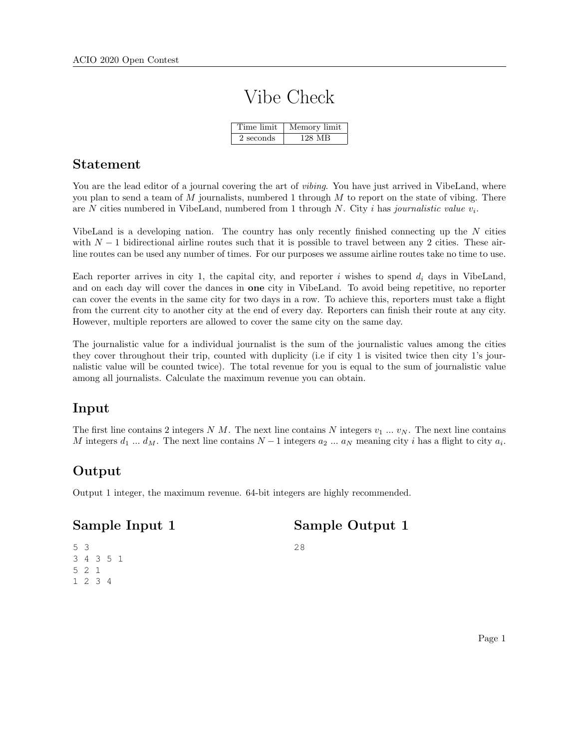# Vibe Check

| Time limit | Memory limit |
|------------|--------------|
| 2 seconds  | 128 MB       |

#### Statement

You are the lead editor of a journal covering the art of *vibing*. You have just arrived in VibeLand, where you plan to send a team of  $M$  journalists, numbered 1 through  $M$  to report on the state of vibing. There are N cities numbered in VibeLand, numbered from 1 through N. City i has journalistic value  $v_i$ .

VibeLand is a developing nation. The country has only recently finished connecting up the N cities with  $N-1$  bidirectional airline routes such that it is possible to travel between any 2 cities. These airline routes can be used any number of times. For our purposes we assume airline routes take no time to use.

Each reporter arrives in city 1, the capital city, and reporter i wishes to spend  $d_i$  days in VibeLand, and on each day will cover the dances in one city in VibeLand. To avoid being repetitive, no reporter can cover the events in the same city for two days in a row. To achieve this, reporters must take a flight from the current city to another city at the end of every day. Reporters can finish their route at any city. However, multiple reporters are allowed to cover the same city on the same day.

The journalistic value for a individual journalist is the sum of the journalistic values among the cities they cover throughout their trip, counted with duplicity (i.e if city 1 is visited twice then city 1's journalistic value will be counted twice). The total revenue for you is equal to the sum of journalistic value among all journalists. Calculate the maximum revenue you can obtain.

# Input

The first line contains 2 integers N M. The next line contains N integers  $v_1 \dots v_N$ . The next line contains M integers  $d_1 \dots d_M$ . The next line contains  $N-1$  integers  $a_2 \dots a_N$  meaning city i has a flight to city  $a_i$ .

# Output

Output 1 integer, the maximum revenue. 64-bit integers are highly recommended.

# Sample Input 1

Sample Output 1

5 3 3 4 3 5 1 5 2 1 1 2 3 4

28